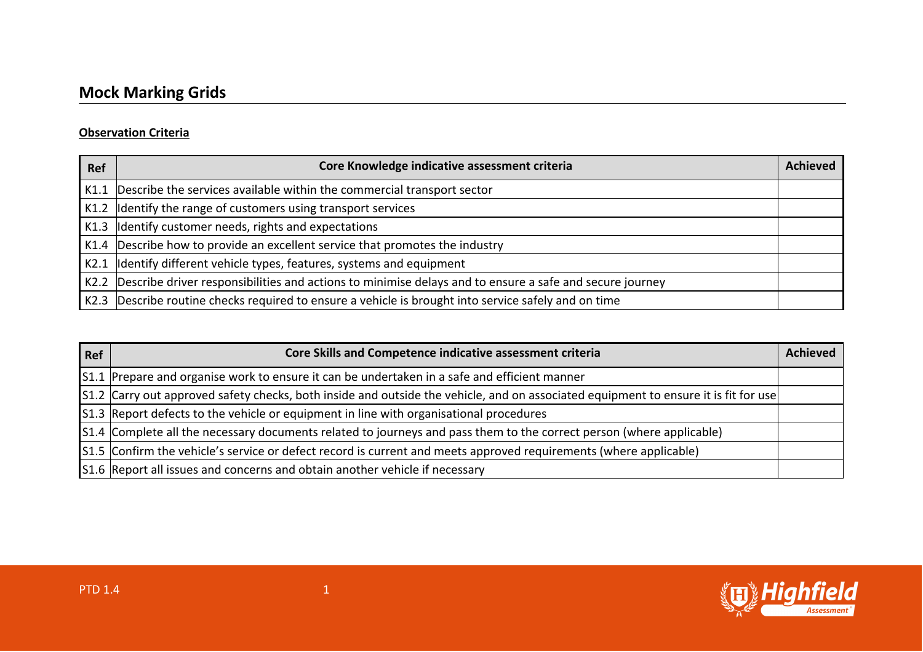## **Observation Criteria**

| <b>Ref</b> | Core Knowledge indicative assessment criteria                                                                | <b>Achieved</b> |
|------------|--------------------------------------------------------------------------------------------------------------|-----------------|
|            | K1.1 Describe the services available within the commercial transport sector                                  |                 |
|            | K1.2 Identify the range of customers using transport services                                                |                 |
|            | $K1.3$ Identify customer needs, rights and expectations                                                      |                 |
|            | K1.4 Describe how to provide an excellent service that promotes the industry                                 |                 |
|            | K2.1  Identify different vehicle types, features, systems and equipment                                      |                 |
|            | K2.2 Describe driver responsibilities and actions to minimise delays and to ensure a safe and secure journey |                 |
|            | K2.3 Describe routine checks required to ensure a vehicle is brought into service safely and on time         |                 |

| <b>Ref</b> | Core Skills and Competence indicative assessment criteria                                                                            | <b>Achieved</b> |
|------------|--------------------------------------------------------------------------------------------------------------------------------------|-----------------|
|            | S1.1 Prepare and organise work to ensure it can be undertaken in a safe and efficient manner                                         |                 |
|            | [S1.2 Carry out approved safety checks, both inside and outside the vehicle, and on associated equipment to ensure it is fit for use |                 |
|            | [S1.3 Report defects to the vehicle or equipment in line with organisational procedures                                              |                 |
|            | [S1.4 Complete all the necessary documents related to journeys and pass them to the correct person (where applicable)                |                 |
|            | [S1.5] Confirm the vehicle's service or defect record is current and meets approved requirements (where applicable)                  |                 |
|            | S1.6 Report all issues and concerns and obtain another vehicle if necessary                                                          |                 |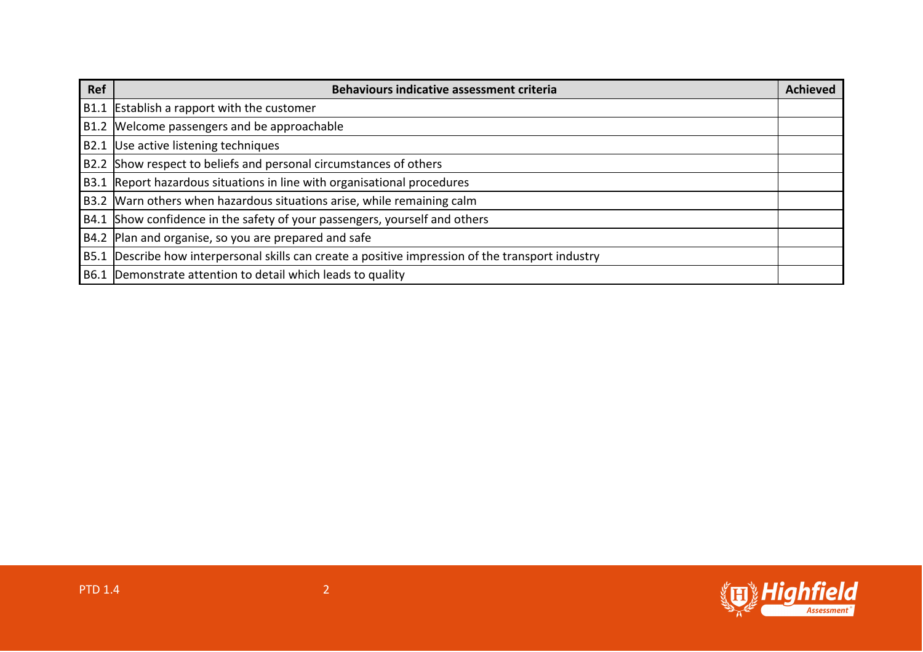| Ref | <b>Behaviours indicative assessment criteria</b>                                                  | Achieved |
|-----|---------------------------------------------------------------------------------------------------|----------|
|     | B1.1 Establish a rapport with the customer                                                        |          |
|     | B1.2 Welcome passengers and be approachable                                                       |          |
|     | B2.1 Use active listening techniques                                                              |          |
|     | B2.2 Show respect to beliefs and personal circumstances of others                                 |          |
|     | B3.1 Report hazardous situations in line with organisational procedures                           |          |
|     | B3.2 Warn others when hazardous situations arise, while remaining calm                            |          |
|     | B4.1 Show confidence in the safety of your passengers, yourself and others                        |          |
|     | B4.2 Plan and organise, so you are prepared and safe                                              |          |
|     | B5.1 Describe how interpersonal skills can create a positive impression of the transport industry |          |
|     | B6.1 Demonstrate attention to detail which leads to quality                                       |          |

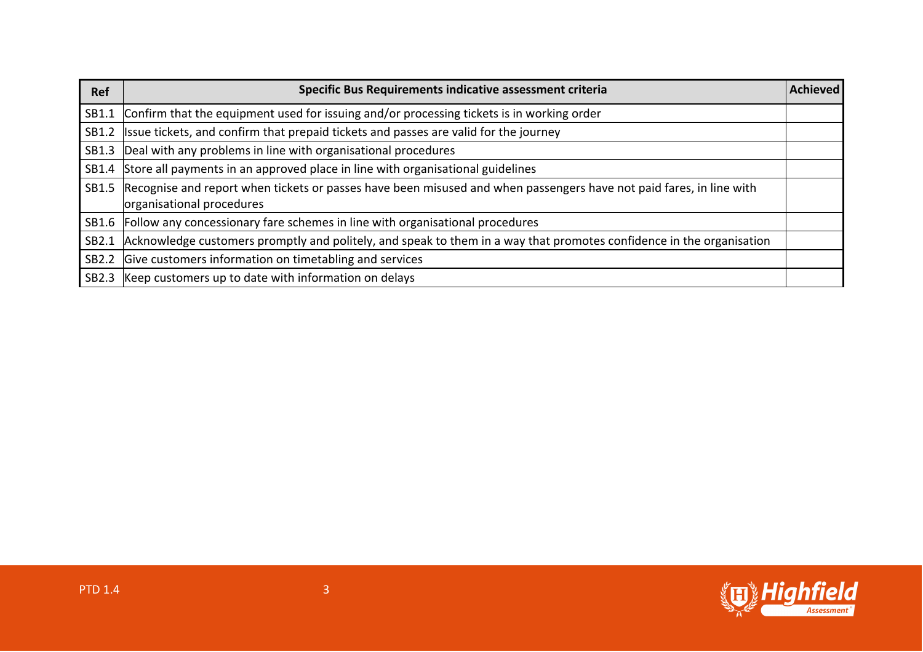| <b>Ref</b> | Specific Bus Requirements indicative assessment criteria                                                                                         | Achieved |
|------------|--------------------------------------------------------------------------------------------------------------------------------------------------|----------|
| SB1.1      | Confirm that the equipment used for issuing and/or processing tickets is in working order                                                        |          |
| SB1.2      | Issue tickets, and confirm that prepaid tickets and passes are valid for the journey                                                             |          |
| SB1.3      | Deal with any problems in line with organisational procedures                                                                                    |          |
| SB1.4      | Store all payments in an approved place in line with organisational guidelines                                                                   |          |
| SB1.5      | Recognise and report when tickets or passes have been misused and when passengers have not paid fares, in line with<br>organisational procedures |          |
| SB1.6      | Follow any concessionary fare schemes in line with organisational procedures                                                                     |          |
| SB2.1      | Acknowledge customers promptly and politely, and speak to them in a way that promotes confidence in the organisation                             |          |
| SB2.2      | Give customers information on timetabling and services                                                                                           |          |
| SB2.3      | Keep customers up to date with information on delays                                                                                             |          |

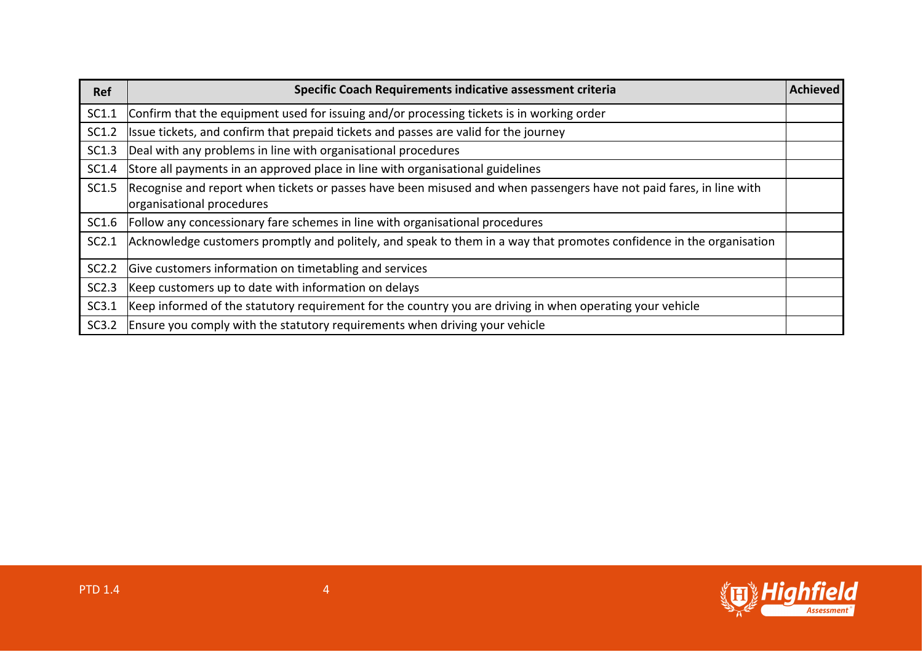| Ref   | Specific Coach Requirements indicative assessment criteria                                                                                       | <b>Achieved</b> |
|-------|--------------------------------------------------------------------------------------------------------------------------------------------------|-----------------|
| SC1.1 | Confirm that the equipment used for issuing and/or processing tickets is in working order                                                        |                 |
| SC1.2 | Issue tickets, and confirm that prepaid tickets and passes are valid for the journey                                                             |                 |
| SC1.3 | Deal with any problems in line with organisational procedures                                                                                    |                 |
| SC1.4 | Store all payments in an approved place in line with organisational guidelines                                                                   |                 |
| SC1.5 | Recognise and report when tickets or passes have been misused and when passengers have not paid fares, in line with<br>organisational procedures |                 |
| SC1.6 | Follow any concessionary fare schemes in line with organisational procedures                                                                     |                 |
| SC2.1 | Acknowledge customers promptly and politely, and speak to them in a way that promotes confidence in the organisation                             |                 |
| SC2.2 | Give customers information on timetabling and services                                                                                           |                 |
| SC2.3 | Keep customers up to date with information on delays                                                                                             |                 |
| SC3.1 | Keep informed of the statutory requirement for the country you are driving in when operating your vehicle                                        |                 |
| SC3.2 | Ensure you comply with the statutory requirements when driving your vehicle                                                                      |                 |